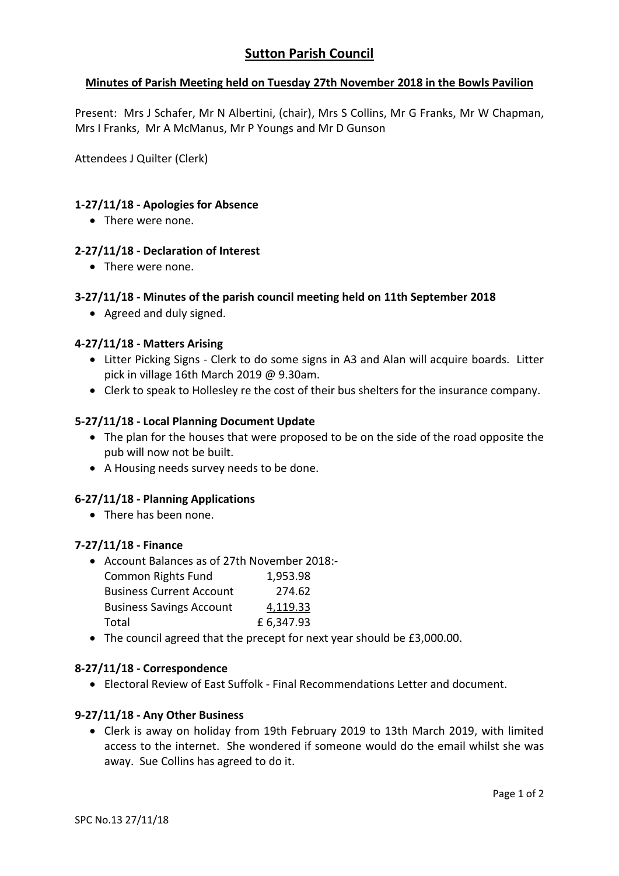# **Minutes of Parish Meeting held on Tuesday 27th November 2018 in the Bowls Pavilion**

Present: Mrs J Schafer, Mr N Albertini, (chair), Mrs S Collins, Mr G Franks, Mr W Chapman, Mrs I Franks, Mr A McManus, Mr P Youngs and Mr D Gunson

Attendees J Quilter (Clerk)

## **1-27/11/18 - Apologies for Absence**

• There were none.

## **2-27/11/18 - Declaration of Interest**

• There were none.

## **3-27/11/18 - Minutes of the parish council meeting held on 11th September 2018**

• Agreed and duly signed.

## **4-27/11/18 - Matters Arising**

- Litter Picking Signs Clerk to do some signs in A3 and Alan will acquire boards. Litter pick in village 16th March 2019 @ 9.30am.
- Clerk to speak to Hollesley re the cost of their bus shelters for the insurance company.

## **5-27/11/18 - Local Planning Document Update**

- The plan for the houses that were proposed to be on the side of the road opposite the pub will now not be built.
- A Housing needs survey needs to be done.

# **6-27/11/18 - Planning Applications**

There has been none.

### **7-27/11/18 - Finance**

- Account Balances as of 27th November 2018:- Common Rights Fund 1,953.98 Business Current Account 274.62 Business Savings Account 4,119.33 Total **E** 6,347.93
- The council agreed that the precept for next year should be £3,000.00.

### **8-27/11/18 - Correspondence**

Electoral Review of East Suffolk - Final Recommendations Letter and document.

### **9-27/11/18 - Any Other Business**

 Clerk is away on holiday from 19th February 2019 to 13th March 2019, with limited access to the internet. She wondered if someone would do the email whilst she was away. Sue Collins has agreed to do it.